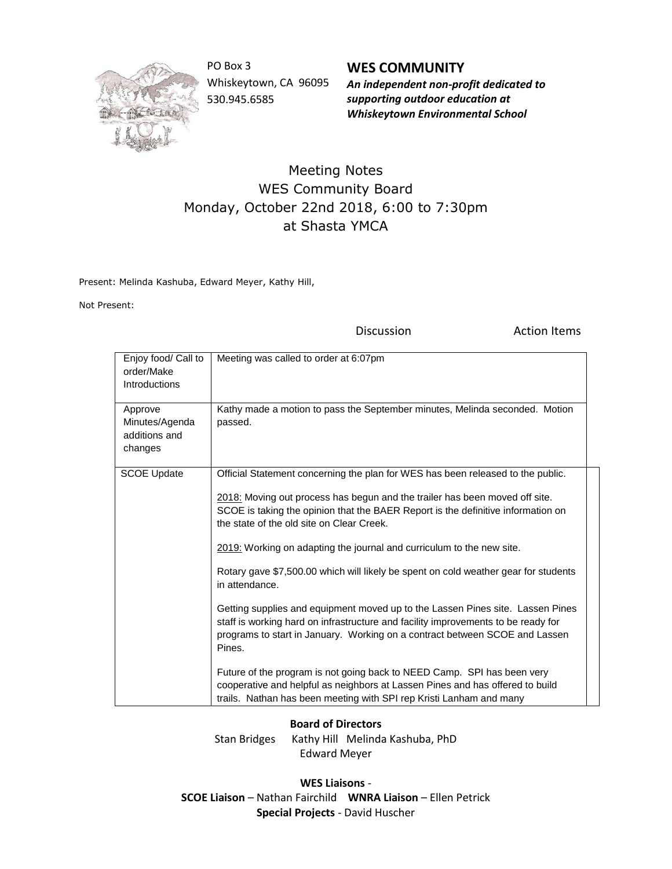

PO Box 3 Whiskeytown, CA 96095 530.945.6585

**WES COMMUNITY** *An independent non-profit dedicated to supporting outdoor education at Whiskeytown Environmental School*

## Meeting Notes WES Community Board Monday, October 22nd 2018, 6:00 to 7:30pm at Shasta YMCA

Present: Melinda Kashuba, Edward Meyer, Kathy Hill,

Not Present:

Discussion **Action** Items

| Enjoy food/ Call to<br>order/Make<br>Introductions    | Meeting was called to order at 6:07pm                                                                                                                                                                                                                                                                                                                                                                                                                                                                                                                                                                                                                                                                                                                                                                                                                                                                                                                                                |
|-------------------------------------------------------|--------------------------------------------------------------------------------------------------------------------------------------------------------------------------------------------------------------------------------------------------------------------------------------------------------------------------------------------------------------------------------------------------------------------------------------------------------------------------------------------------------------------------------------------------------------------------------------------------------------------------------------------------------------------------------------------------------------------------------------------------------------------------------------------------------------------------------------------------------------------------------------------------------------------------------------------------------------------------------------|
| Approve<br>Minutes/Agenda<br>additions and<br>changes | Kathy made a motion to pass the September minutes, Melinda seconded. Motion<br>passed.                                                                                                                                                                                                                                                                                                                                                                                                                                                                                                                                                                                                                                                                                                                                                                                                                                                                                               |
| <b>SCOE Update</b>                                    | Official Statement concerning the plan for WES has been released to the public.<br>2018: Moving out process has begun and the trailer has been moved off site.<br>SCOE is taking the opinion that the BAER Report is the definitive information on<br>the state of the old site on Clear Creek.<br>2019: Working on adapting the journal and curriculum to the new site.<br>Rotary gave \$7,500.00 which will likely be spent on cold weather gear for students<br>in attendance.<br>Getting supplies and equipment moved up to the Lassen Pines site. Lassen Pines<br>staff is working hard on infrastructure and facility improvements to be ready for<br>programs to start in January. Working on a contract between SCOE and Lassen<br>Pines.<br>Future of the program is not going back to NEED Camp. SPI has been very<br>cooperative and helpful as neighbors at Lassen Pines and has offered to build<br>trails. Nathan has been meeting with SPI rep Kristi Lanham and many |

## **Board of Directors**

Stan Bridges Kathy Hill Melinda Kashuba, PhD Edward Meyer

**WES Liaisons** - **SCOE Liaison** – Nathan Fairchild **WNRA Liaison** – Ellen Petrick **Special Projects** - David Huscher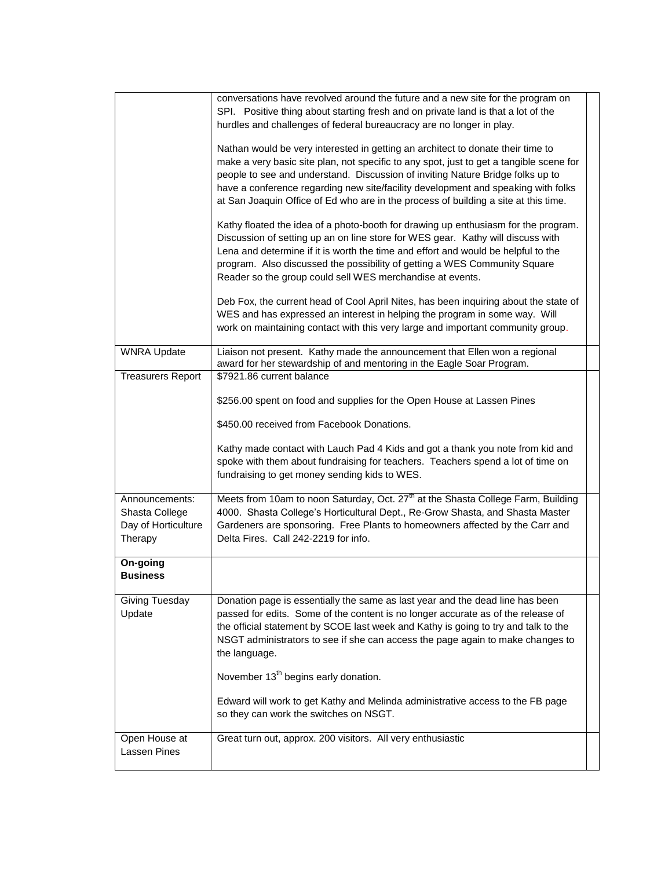|                                                                    | conversations have revolved around the future and a new site for the program on<br>SPI. Positive thing about starting fresh and on private land is that a lot of the<br>hurdles and challenges of federal bureaucracy are no longer in play.<br>Nathan would be very interested in getting an architect to donate their time to<br>make a very basic site plan, not specific to any spot, just to get a tangible scene for<br>people to see and understand. Discussion of inviting Nature Bridge folks up to<br>have a conference regarding new site/facility development and speaking with folks<br>at San Joaquin Office of Ed who are in the process of building a site at this time.<br>Kathy floated the idea of a photo-booth for drawing up enthusiasm for the program. |  |
|--------------------------------------------------------------------|--------------------------------------------------------------------------------------------------------------------------------------------------------------------------------------------------------------------------------------------------------------------------------------------------------------------------------------------------------------------------------------------------------------------------------------------------------------------------------------------------------------------------------------------------------------------------------------------------------------------------------------------------------------------------------------------------------------------------------------------------------------------------------|--|
|                                                                    | Discussion of setting up an on line store for WES gear. Kathy will discuss with<br>Lena and determine if it is worth the time and effort and would be helpful to the<br>program. Also discussed the possibility of getting a WES Community Square<br>Reader so the group could sell WES merchandise at events.                                                                                                                                                                                                                                                                                                                                                                                                                                                                 |  |
|                                                                    | Deb Fox, the current head of Cool April Nites, has been inquiring about the state of<br>WES and has expressed an interest in helping the program in some way. Will<br>work on maintaining contact with this very large and important community group.                                                                                                                                                                                                                                                                                                                                                                                                                                                                                                                          |  |
| <b>WNRA Update</b>                                                 | Liaison not present. Kathy made the announcement that Ellen won a regional<br>award for her stewardship of and mentoring in the Eagle Soar Program.                                                                                                                                                                                                                                                                                                                                                                                                                                                                                                                                                                                                                            |  |
| <b>Treasurers Report</b>                                           | \$7921.86 current balance<br>\$256.00 spent on food and supplies for the Open House at Lassen Pines<br>\$450.00 received from Facebook Donations.<br>Kathy made contact with Lauch Pad 4 Kids and got a thank you note from kid and                                                                                                                                                                                                                                                                                                                                                                                                                                                                                                                                            |  |
|                                                                    | spoke with them about fundraising for teachers. Teachers spend a lot of time on<br>fundraising to get money sending kids to WES.                                                                                                                                                                                                                                                                                                                                                                                                                                                                                                                                                                                                                                               |  |
| Announcements:<br>Shasta College<br>Day of Horticulture<br>Therapy | Meets from 10am to noon Saturday, Oct. 27 <sup>th</sup> at the Shasta College Farm, Building<br>4000. Shasta College's Horticultural Dept., Re-Grow Shasta, and Shasta Master<br>Gardeners are sponsoring. Free Plants to homeowners affected by the Carr and<br>Delta Fires. Call 242-2219 for info.                                                                                                                                                                                                                                                                                                                                                                                                                                                                          |  |
| On-going<br><b>Business</b>                                        |                                                                                                                                                                                                                                                                                                                                                                                                                                                                                                                                                                                                                                                                                                                                                                                |  |
| Giving Tuesday<br>Update                                           | Donation page is essentially the same as last year and the dead line has been<br>passed for edits. Some of the content is no longer accurate as of the release of<br>the official statement by SCOE last week and Kathy is going to try and talk to the<br>NSGT administrators to see if she can access the page again to make changes to<br>the language.                                                                                                                                                                                                                                                                                                                                                                                                                     |  |
|                                                                    | November 13 <sup>th</sup> begins early donation.                                                                                                                                                                                                                                                                                                                                                                                                                                                                                                                                                                                                                                                                                                                               |  |
|                                                                    | Edward will work to get Kathy and Melinda administrative access to the FB page<br>so they can work the switches on NSGT.                                                                                                                                                                                                                                                                                                                                                                                                                                                                                                                                                                                                                                                       |  |
| Open House at<br>Lassen Pines                                      | Great turn out, approx. 200 visitors. All very enthusiastic                                                                                                                                                                                                                                                                                                                                                                                                                                                                                                                                                                                                                                                                                                                    |  |